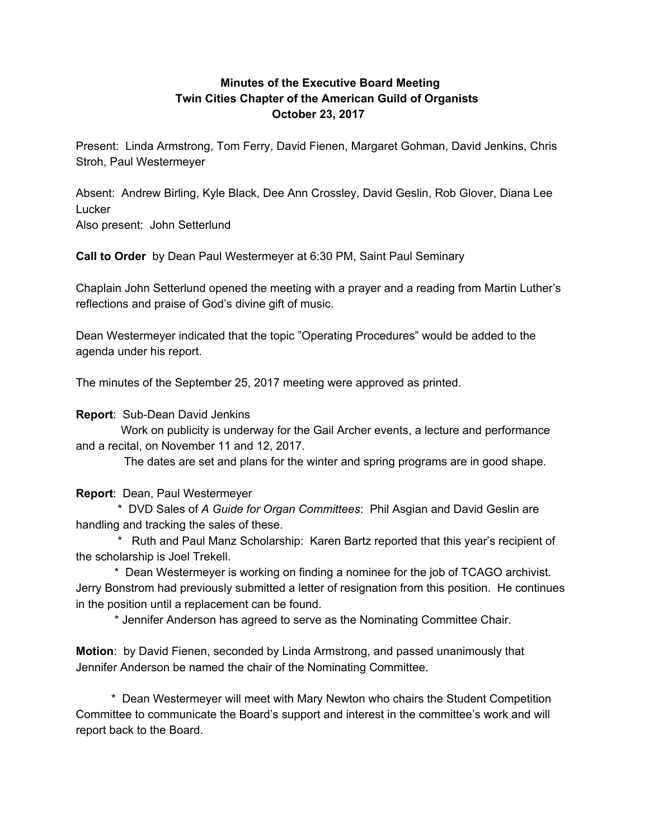## **Minutes of the Executive Board Meeting Twin Cities Chapter of the American Guild of Organists October 23, 2017**

Present: Linda Armstrong, Tom Ferry, David Fienen, Margaret Gohman, David Jenkins, Chris Stroh, Paul Westermeyer

Absent: Andrew Birling, Kyle Black, Dee Ann Crossley, David Geslin, Rob Glover, Diana Lee Lucker Also present: John Setterlund

**Call to Order** by Dean Paul Westermeyer at 6:30 PM, Saint Paul Seminary

Chaplain John Setterlund opened the meeting with a prayer and a reading from Martin Luther's reflections and praise of God's divine gift of music.

Dean Westermeyer indicated that the topic "Operating Procedures" would be added to the agenda under his report.

The minutes of the September 25, 2017 meeting were approved as printed.

**Report**: Sub-Dean David Jenkins

Work on publicity is underway for the Gail Archer events, a lecture and performance and a recital, on November 11 and 12, 2017.

The dates are set and plans for the winter and spring programs are in good shape.

**Report**: Dean, Paul Westermeyer

\* DVD Sales of *A Guide for Organ Committees*: Phil Asgian and David Geslin are handling and tracking the sales of these.

\* Ruth and Paul Manz Scholarship: Karen Bartz reported that this year's recipient of the scholarship is Joel Trekell.

\* Dean Westermeyer is working on finding a nominee for the job of TCAGO archivist. Jerry Bonstrom had previously submitted a letter of resignation from this position. He continues in the position until a replacement can be found.

\* Jennifer Anderson has agreed to serve as the Nominating Committee Chair.

**Motion**: by David Fienen, seconded by Linda Armstrong, and passed unanimously that Jennifer Anderson be named the chair of the Nominating Committee.

\* Dean Westermeyer will meet with Mary Newton who chairs the Student Competition Committee to communicate the Board's support and interest in the committee's work and will report back to the Board.